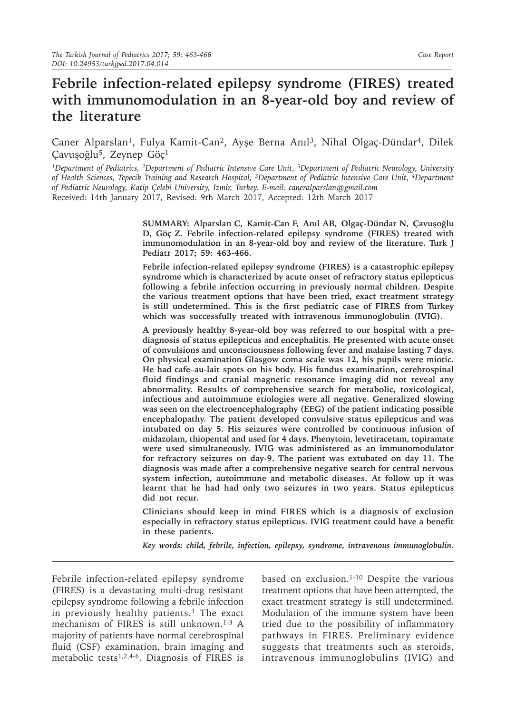## **Febrile infection-related epilepsy syndrome (FIRES) treated with immunomodulation in an 8-year-old boy and review of the literature**

Caner Alparslan<sup>1</sup>, Fulya Kamit-Can<sup>2</sup>, Ayşe Berna Anıl<sup>3</sup>, Nihal Olgaç-Dündar<sup>4</sup>, Dilek Çavuşoğlu<sup>5</sup>, Zeynep Göç<sup>1</sup>

*1Department of Pediatrics, 2Department of Pediatric Intensive Care Unit, 5Department of Pediatric Neurology, University of Health Sciences, Tepecik Training and Research Hospital; 3Department of Pediatric Intensive Care Unit, 4Department of Pediatric Neurology, Katip Çelebi University, Izmir, Turkey. E-mail: caneralparslan@gmail.com* Received: 14th January 2017, Revised: 9th March 2017, Accepted: 12th March 2017

> **SUMMARY: Alparslan C, Kamit-Can F, Anıl AB, Olgaç-Dündar N, Çavuşoğlu D, Göç Z. Febrile infection-related epilepsy syndrome (FIRES) treated with immunomodulation in an 8-year-old boy and review of the literature. Turk J Pediatr 2017; 59: 463-466.**

> **Febrile infection-related epilepsy syndrome (FIRES) is a catastrophic epilepsy syndrome which is characterized by acute onset of refractory status epilepticus following a febrile infection occurring in previously normal children. Despite the various treatment options that have been tried, exact treatment strategy is still undetermined. This is the first pediatric case of FIRES from Turkey which was successfully treated with intravenous immunoglobulin (IVIG).**

> **A previously healthy 8-year-old boy was referred to our hospital with a prediagnosis of status epilepticus and encephalitis. He presented with acute onset of convulsions and unconsciousness following fever and malaise lasting 7 days. On physical examination Glasgow coma scale was 12, his pupils were miotic. He had cafe–au-lait spots on his body. His fundus examination, cerebrospinal fluid findings and cranial magnetic resonance imaging did not reveal any abnormality. Results of comprehensive search for metabolic, toxicological, infectious and autoimmune etiologies were all negative. Generalized slowing was seen on the electroencephalography (EEG) of the patient indicating possible encephalopathy. The patient developed convulsive status epilepticus and was intubated on day 5. His seizures were controlled by continuous infusion of midazolam, thiopental and used for 4 days. Phenytoin, levetiracetam, topiramate were used simultaneously. IVIG was administered as an immunomodulator for refractory seizures on day-9. The patient was extubated on day 11. The diagnosis was made after a comprehensive negative search for central nervous system infection, autoimmune and metabolic diseases. At follow up it was learnt that he had had only two seizures in two years. Status epilepticus did not recur.**

> **Clinicians should keep in mind FIRES which is a diagnosis of exclusion especially in refractory status epilepticus. IVIG treatment could have a benefit in these patients.**

> *Key words: child, febrile, infection, epilepsy, syndrome, intravenous immunoglobulin.*

Febrile infection-related epilepsy syndrome (FIRES) is a devastating multi-drug resistant epilepsy syndrome following a febrile infection in previously healthy patients.<sup>1</sup> The exact mechanism of FIRES is still unknown.1-3 A majority of patients have normal cerebrospinal fluid (CSF) examination, brain imaging and metabolic tests<sup>1,2,4-6</sup>. Diagnosis of FIRES is

based on exclusion.1-10 Despite the various treatment options that have been attempted, the exact treatment strategy is still undetermined. Modulation of the immune system have been tried due to the possibility of inflammatory pathways in FIRES. Preliminary evidence suggests that treatments such as steroids, intravenous immunoglobulins (IVIG) and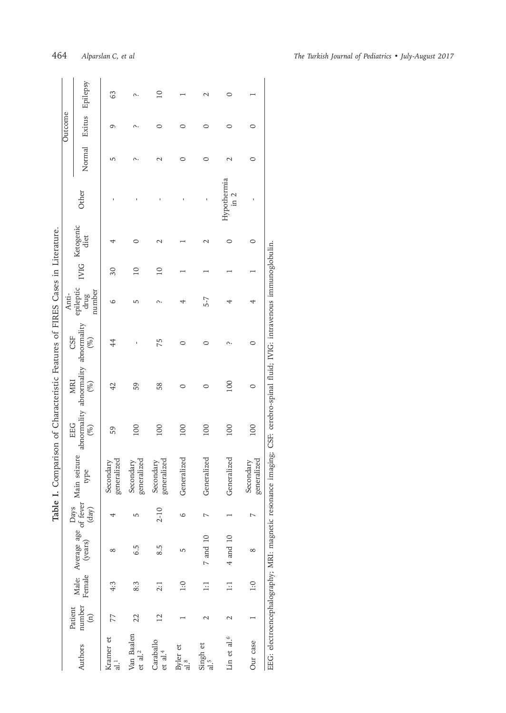|                                    |                 |               |                |                  | Table I. Comparison of Characteristic Features of FIRES Cases in Literature.                                               |        |                                               |        |                                      |                 |                        |                              |                  |         |                  |
|------------------------------------|-----------------|---------------|----------------|------------------|----------------------------------------------------------------------------------------------------------------------------|--------|-----------------------------------------------|--------|--------------------------------------|-----------------|------------------------|------------------------------|------------------|---------|------------------|
|                                    | Patient         |               |                |                  |                                                                                                                            | EEG    | <b>MRI</b>                                    | CSF    | Anti-                                |                 |                        |                              |                  | Outcome |                  |
| Authors number                     | $\widehat{\Xi}$ |               |                | $(\text{day})$   | Male: Average age $_{\text{O4}$ Main seizure<br>Female (years) $_{\text{A} \rightarrow \text{A}}$ rome                     | $(\%)$ | abnormality abnormality abnormality<br>$(\%)$ | $(\%)$ | epileptic<br>number<br>$d\text{rug}$ |                 | IVIG Ketogenic<br>diet | Other                        | Normal           |         | Exitus Epilepsy  |
| Kramer et                          | 77              | 4:3           | $\infty$       |                  | generalized<br>Secondary                                                                                                   | 59     | 42                                            | 44     | 6                                    | 30              |                        |                              | 5                | Ō       | 63               |
| Van Baalen<br>et al. <sup>2</sup>  | 22              | 8:3           | 6.5            | S                | generalized<br>Secondary                                                                                                   | 100    | 59                                            |        | 5                                    | $\overline{a}$  | 0                      |                              |                  |         | $\sim$           |
| Caraballo<br>$et$ al. <sup>4</sup> | $\overline{2}$  | 2:1           | 8.5            | $2 - 10$         | generalized<br>Secondary                                                                                                   | 100    | 58                                            | 75     |                                      | $\overline{10}$ | $\mathcal{L}$          |                              | C                | ○       | $\overline{10}$  |
| Byler et<br>al.e                   |                 | 1:0           | 5              | 9                | Generalized                                                                                                                | 100    | 0                                             | 0      |                                      |                 |                        |                              | 0                | 0       |                  |
| Singh et<br>$\frac{5}{d}$          | $\mathbf 2$     | $\Xi$         | $7$ and $10\,$ | $\triangleright$ | Generalized                                                                                                                | 100    | 0                                             | 0      | 5-7                                  |                 | $\mathcal{L}$          | ı                            | 0                | ○       | $\mathrel{\sim}$ |
| Lin et al. <sup>6</sup>            | $\mathbf 2$     | $\Xi$         | 4 and 10       |                  | Generalized                                                                                                                | 100    | 100                                           |        |                                      |                 | 0                      | Hypothermia<br>$\frac{1}{2}$ | $\mathrel{\sim}$ | 0       | 0                |
| Our case                           |                 | $\frac{1}{2}$ | $^{\circ}$     |                  | generalized<br>Secondary                                                                                                   | 100    | 0                                             | 0      | 4                                    |                 | $\circ$                |                              | $\circ$          | $\circ$ |                  |
|                                    |                 |               |                |                  | EEG: electroencephalography; MR1: magnetic resonance imaging; CSF: cerebro-spinal fluid; IVIG: intravenous immunoglobulin. |        |                                               |        |                                      |                 |                        |                              |                  |         |                  |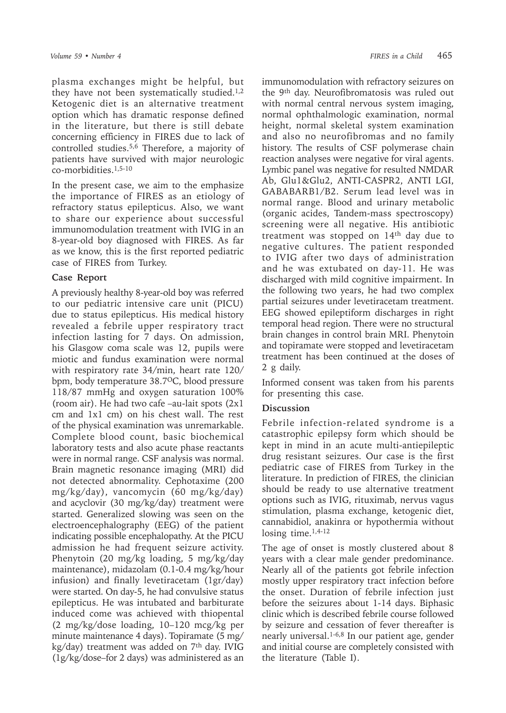plasma exchanges might be helpful, but they have not been systematically studied.<sup>1,2</sup> Ketogenic diet is an alternative treatment option which has dramatic response defined in the literature, but there is still debate concerning efficiency in FIRES due to lack of controlled studies.5,6 Therefore, a majority of patients have survived with major neurologic co-morbidities.1,5-10

In the present case, we aim to the emphasize the importance of FIRES as an etiology of refractory status epilepticus. Also, we want to share our experience about successful immunomodulation treatment with IVIG in an 8-year-old boy diagnosed with FIRES. As far as we know, this is the first reported pediatric case of FIRES from Turkey.

## **Case Report**

A previously healthy 8-year-old boy was referred to our pediatric intensive care unit (PICU) due to status epilepticus. His medical history revealed a febrile upper respiratory tract infection lasting for 7 days. On admission, his Glasgow coma scale was 12, pupils were miotic and fundus examination were normal with respiratory rate 34/min, heart rate 120/ bpm, body temperature 38.7<sup>o</sup>C, blood pressure 118/87 mmHg and oxygen saturation 100% (room air). He had two cafe –au-lait spots (2x1 cm and 1x1 cm) on his chest wall. The rest of the physical examination was unremarkable. Complete blood count, basic biochemical laboratory tests and also acute phase reactants were in normal range. CSF analysis was normal. Brain magnetic resonance imaging (MRI) did not detected abnormality. Cephotaxime (200 mg/kg/day), vancomycin (60 mg/kg/day) and acyclovir (30 mg/kg/day) treatment were started. Generalized slowing was seen on the electroencephalography (EEG) of the patient indicating possible encephalopathy. At the PICU admission he had frequent seizure activity. Phenytoin (20 mg/kg loading, 5 mg/kg/day maintenance), midazolam (0.1-0.4 mg/kg/hour infusion) and finally levetiracetam (1gr/day) were started. On day-5, he had convulsive status epilepticus. He was intubated and barbiturate induced come was achieved with thiopental (2 mg/kg/dose loading, 10–120 mcg/kg per minute maintenance 4 days). Topiramate (5 mg/ kg/day) treatment was added on 7<sup>th</sup> day. IVIG (1g/kg/dose–for 2 days) was administered as an

immunomodulation with refractory seizures on the 9th day. Neurofibromatosis was ruled out with normal central nervous system imaging, normal ophthalmologic examination, normal height, normal skeletal system examination and also no neurofibromas and no family history. The results of CSF polymerase chain reaction analyses were negative for viral agents. Lymbic panel was negative for resulted NMDAR Ab, Glu1&Glu2, ANTI-CASPR2, ANTI LGI, GABABARB1/B2. Serum lead level was in normal range. Blood and urinary metabolic (organic acides, Tandem-mass spectroscopy) screening were all negative. His antibiotic treatment was stopped on 14<sup>th</sup> day due to negative cultures. The patient responded to IVIG after two days of administration and he was extubated on day-11. He was discharged with mild cognitive impairment. In the following two years, he had two complex partial seizures under levetiracetam treatment. EEG showed epileptiform discharges in right temporal head region. There were no structural brain changes in control brain MRI. Phenytoin and topiramate were stopped and levetiracetam treatment has been continued at the doses of 2 g daily.

Informed consent was taken from his parents for presenting this case.

## **Discussion**

Febrile infection-related syndrome is a catastrophic epilepsy form which should be kept in mind in an acute multi-antiepileptic drug resistant seizures. Our case is the first pediatric case of FIRES from Turkey in the literature. In prediction of FIRES, the clinician should be ready to use alternative treatment options such as IVIG, rituximab, nervus vagus stimulation, plasma exchange, ketogenic diet, cannabidiol, anakinra or hypothermia without losing time. $1,4-12$ 

The age of onset is mostly clustered about 8 years with a clear male gender predominance. Nearly all of the patients got febrile infection mostly upper respiratory tract infection before the onset. Duration of febrile infection just before the seizures about 1-14 days. Biphasic clinic which is described febrile course followed by seizure and cessation of fever thereafter is nearly universal. $1-6,8$  In our patient age, gender and initial course are completely consisted with the literature (Table I).